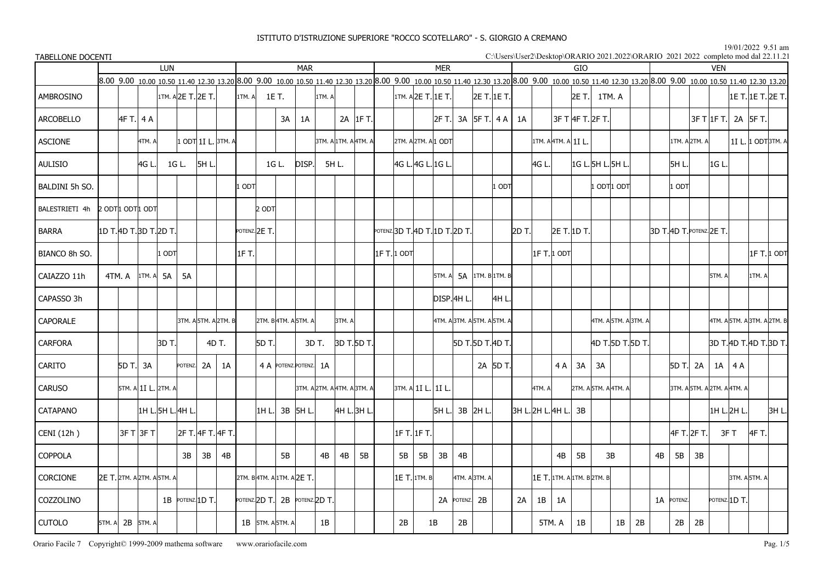19/01/2022 9.51 am $\frac{15}{101}$  and dal 22.11.21

| <b>TABELLONE DOCENTI</b> |                                   |               |                     |           |                   |                      |        |                    |       |                                                                                                                                                                                                                                 |          |                      |                             |                       |                    |               |                             |                   |       |                   |                    |            |                            |             |                      |    |                          |               | C:\Users\User2\Desktop\ORARIO 2021.2022\ORARIO 2021 2022 completo mod dal 22.11.21 |     |                   |             |
|--------------------------|-----------------------------------|---------------|---------------------|-----------|-------------------|----------------------|--------|--------------------|-------|---------------------------------------------------------------------------------------------------------------------------------------------------------------------------------------------------------------------------------|----------|----------------------|-----------------------------|-----------------------|--------------------|---------------|-----------------------------|-------------------|-------|-------------------|--------------------|------------|----------------------------|-------------|----------------------|----|--------------------------|---------------|------------------------------------------------------------------------------------|-----|-------------------|-------------|
|                          |                                   |               | LUN                 |           |                   |                      |        |                    |       | <b>MAR</b>                                                                                                                                                                                                                      |          |                      |                             |                       | <b>MER</b>         |               |                             |                   |       |                   |                    | <b>GIO</b> |                            |             |                      |    |                          |               | <b>VFN</b>                                                                         |     |                   |             |
|                          |                                   |               |                     |           |                   |                      |        |                    |       | 8.00 9.00 10.00 10.50 11.40 12.30 13.20 8.00 9.00 10.00 10.50 11.40 12.30 13.20 8.00 9.00 10.00 10.50 11.40 12.30 13.20 8.00 9.00 10.00 10.50 11.40 12.30 13.20 8.00 9.00 10.00 10.50 11.40 12.30 13.20 8.00 9.00 10.00 10.50 1 |          |                      |                             |                       |                    |               |                             |                   |       |                   |                    |            |                            |             |                      |    |                          |               |                                                                                    |     |                   |             |
| AMBROSINO                |                                   |               |                     |           | 1TM. A2E T.2E T.  |                      | 1TM. A |                    | 1E T. | 1TM. A                                                                                                                                                                                                                          |          |                      |                             | 1TM. A 2E T. 1E T.    |                    |               | 2E T. 1E T.                 |                   |       |                   |                    | 2E T.      | 1TM. A                     |             |                      |    |                          |               |                                                                                    |     | 1E T. 1E T. 2E T. |             |
| <b>ARCOBELLO</b>         | 4F T. 4 A                         |               |                     |           |                   |                      |        |                    | 3A    | 1A                                                                                                                                                                                                                              |          | 2A IF T.             |                             |                       | 2F T. 3A 5F T. 4 A |               |                             |                   | 1A    |                   |                    |            | 3F T 4F T. 2F T.           |             |                      |    |                          |               | $3F$ T $1F$ T.                                                                     |     | 2A 5F T.          |             |
| <b>ASCIONE</b>           |                                   | 4TM. A        |                     |           |                   | 1 ODT 1I L. 3TM. A   |        |                    |       |                                                                                                                                                                                                                                 |          | 3TM. A 1TM. A 4TM. A |                             |                       | 2TM. A2TM. A 1 ODT |               |                             |                   |       |                   | 1TM. A 4TM. A 1IL. |            |                            |             |                      |    |                          | 1TM. A 2TM. A |                                                                                    |     | 11 L. 1 ODT3TM. A |             |
| <b>AULISIO</b>           |                                   | 4G L          |                     | 1G L.     | 5H L.             |                      |        |                    | 1G L. | DISP.                                                                                                                                                                                                                           | 5H L.    |                      |                             | 4G L. 4G L. 1G L.     |                    |               |                             |                   |       | 4G L.             |                    |            | 1G L. 5H L. 5H L.          |             |                      |    | 5H L.                    |               | IGL                                                                                |     |                   |             |
| BALDINI 5h SO.           |                                   |               |                     |           |                   |                      | ODT    |                    |       |                                                                                                                                                                                                                                 |          |                      |                             |                       |                    |               |                             | 1 OD <sub>1</sub> |       |                   |                    |            |                            | l odt 1 odt |                      |    | $1$ ODT                  |               |                                                                                    |     |                   |             |
| BALESTRIETI 4h           | 2 ODT1 ODT1 ODT                   |               |                     |           |                   |                      |        | $2$ ODT            |       |                                                                                                                                                                                                                                 |          |                      |                             |                       |                    |               |                             |                   |       |                   |                    |            |                            |             |                      |    |                          |               |                                                                                    |     |                   |             |
| <b>BARRA</b>             | 1D T. 4D T. 3D T. 2D T.           |               |                     |           |                   |                      |        | POTENZ. 2E T.      |       |                                                                                                                                                                                                                                 |          |                      | POTENZ.3D T.4D T.1D T.2D T. |                       |                    |               |                             |                   | 2D T. |                   | 2E T. 1D T.        |            |                            |             |                      |    | 3D T. 4D T. POTENZ. 2E T |               |                                                                                    |     |                   |             |
| BIANCO 8h SO.            |                                   |               | 1 ODTI              |           |                   |                      | 1FT.   |                    |       |                                                                                                                                                                                                                                 |          |                      | 1F T. 1 ODT                 |                       |                    |               |                             |                   |       |                   | 1F T. 1 ODT        |            |                            |             |                      |    |                          |               |                                                                                    |     |                   | 1F T. 1 ODT |
| CAIAZZO 11h              | 4TM. A                            | 1TM. A        | <b>5A</b>           | <b>5A</b> |                   |                      |        |                    |       |                                                                                                                                                                                                                                 |          |                      |                             |                       | 5TM. A             |               | $5A$ 1TM. B 1TM. B          |                   |       |                   |                    |            |                            |             |                      |    |                          |               | 5TM. A                                                                             |     | 1TM. A            |             |
| CAPASSO 3h               |                                   |               |                     |           |                   |                      |        |                    |       |                                                                                                                                                                                                                                 |          |                      |                             |                       | DISP.4H L.         |               |                             | 4H L.             |       |                   |                    |            |                            |             |                      |    |                          |               |                                                                                    |     |                   |             |
| <b>CAPORALE</b>          |                                   |               |                     |           |                   | 3TM. A 5TM. A 2TM. B |        |                    |       | 2TM. B 4TM. A 5TM. A                                                                                                                                                                                                            | l3TM. Al |                      |                             |                       |                    |               | 4TM. A 3TM. A 5TM. A 5TM. A |                   |       |                   |                    |            |                            |             | 4TM. A 5TM. A 3TM. A |    |                          |               | 4TM. A 5TM. A 3TM. A 2TM. B                                                        |     |                   |             |
| <b>CARFORA</b>           |                                   |               | 3D T.I              |           |                   | 4D T.                |        | 5D T.              |       | 3D T.                                                                                                                                                                                                                           |          | 3D T.5D T.           |                             |                       |                    |               | 5D T.5D T.4D T.             |                   |       |                   |                    |            |                            |             | 4D T.15D T.15D T.    |    |                          |               | 3D T.AD T.AD T.3D T.                                                               |     |                   |             |
| <b>CARITO</b>            | 5D T. 3A                          |               |                     | POTENZ.   | 2A                | 1A                   |        |                    |       | 4 A POTENZ POTENZ. 1A                                                                                                                                                                                                           |          |                      |                             |                       |                    |               |                             | 2A 5D T.          |       |                   | 4 A                | 3A         | 3A                         |             |                      |    | 5D T.I 2A                |               | 1A                                                                                 | 4 A |                   |             |
| <b>CARUSO</b>            |                                   |               | 5TM. A 1I L. 2TM. A |           |                   |                      |        |                    |       | 3TM. A 2TM. A 4TM. A 3TM. A                                                                                                                                                                                                     |          |                      |                             | 3tm. a  11 L.   11 L. |                    |               |                             |                   |       | 4TM. A            |                    |            | 2TM. A 5TM. A 4TM. A       |             |                      |    |                          |               | 3TM. A 5TM. A 2TM. A 4TM. A                                                        |     |                   |             |
| <b>CATAPANO</b>          |                                   |               | 1H L. 5H L. 4H L    |           |                   |                      |        | 11H L.I            |       | 3B 5H L.                                                                                                                                                                                                                        |          | 4H L. 3H L           |                             |                       | 5H L.I             |               | 3B 2H L.                    |                   |       | 3H L. 2H L. 4H L. |                    | 3B         |                            |             |                      |    |                          |               | 1H L.2H L                                                                          |     |                   | 3H L.       |
| CENI (12h)               |                                   | $3F$ T $3F$ T |                     |           | 2F T. 4F T. 4F T. |                      |        |                    |       |                                                                                                                                                                                                                                 |          |                      | 1F T. 1F T.                 |                       |                    |               |                             |                   |       |                   |                    |            |                            |             |                      |    | 4F T. 2F T.              |               | 3F T                                                                               |     | 4F T.             |             |
| COPPOLA                  |                                   |               |                     | 3B        | 3B                | 4B                   |        |                    | 5B    | 4B                                                                                                                                                                                                                              | 4B       | 5B                   | 5B                          | 5B                    | 3B                 | 4B            |                             |                   |       |                   | 4B                 | 5B         |                            | 3B          |                      | 4B | 5B                       | 3B            |                                                                                    |     |                   |             |
| <b>CORCIONE</b>          | <b>2E T.</b> 2TM. A 2TM. A 5TM. A |               |                     |           |                   |                      |        |                    |       | 2TM. B 4TM. A 1TM. A 2E T.                                                                                                                                                                                                      |          |                      |                             | 1E T. 1TM. B          |                    | 4TM. A 3TM. A |                             |                   |       |                   |                    |            | 1Е Т. 1тм. а 1тм. в 2тм. в |             |                      |    |                          |               |                                                                                    |     | 3TM. A 5TM. A     |             |
| COZZOLINO                |                                   |               |                     |           | 1B POTENZ. 1D T.  |                      |        | potenz. $ 2D T$ .  |       | 2B POTENZ. 2D T.                                                                                                                                                                                                                |          |                      |                             |                       |                    | 2A POTENZ. 2B |                             |                   | 2A    | 1B                | 1A                 |            |                            |             |                      |    | 1A POTENZ.               |               | POTENZ. $1D$ T.                                                                    |     |                   |             |
| <b>CUTOLO</b>            | 5TM. A 2B 5TM. A                  |               |                     |           |                   |                      |        | $1B$ 5TM. A 5TM. A |       | 1B                                                                                                                                                                                                                              |          |                      | 2В                          |                       | 1B                 | 2B            |                             |                   |       |                   | 5TM.A              | 1B         |                            | 1B          | 2B                   |    | 2B                       | 2B            |                                                                                    |     |                   |             |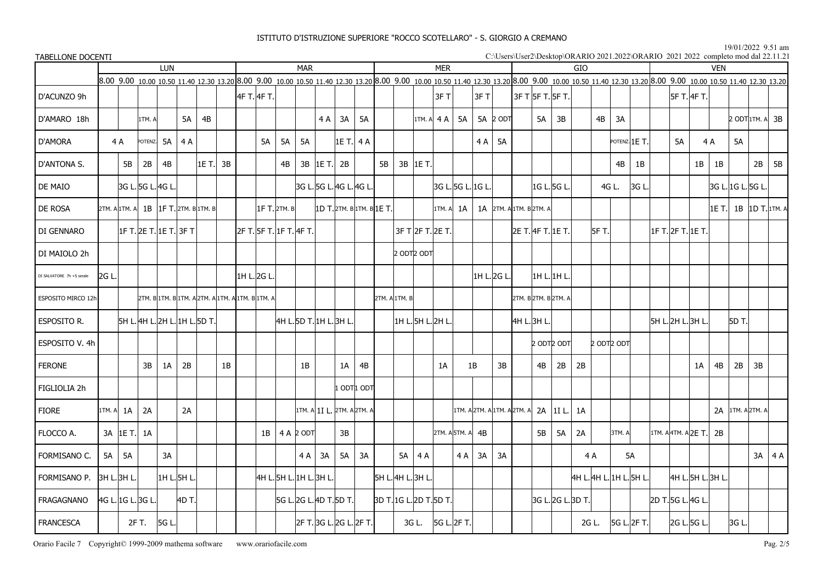19/01/2022 9.51 am $\frac{15}{101}$  and dal 22.11.21

| <b>TABELLONE DOCENTI</b>  |                                     |                |         |                               |       |                                                                                                                                                                                                                                 |             |                |                           |                            |           |             |                         |                   |            |                   |    |                          |          |                         |                   |                         |                 |        |               |                    |             |            | C:\Users\User2\Desktop\ORARIO 2021.2022\ORARIO 2021 2022 completo mod dal 22.11.21 |                 |              |
|---------------------------|-------------------------------------|----------------|---------|-------------------------------|-------|---------------------------------------------------------------------------------------------------------------------------------------------------------------------------------------------------------------------------------|-------------|----------------|---------------------------|----------------------------|-----------|-------------|-------------------------|-------------------|------------|-------------------|----|--------------------------|----------|-------------------------|-------------------|-------------------------|-----------------|--------|---------------|--------------------|-------------|------------|------------------------------------------------------------------------------------|-----------------|--------------|
|                           |                                     |                |         | <b>LUN</b>                    |       |                                                                                                                                                                                                                                 |             |                | <b>MAR</b>                |                            |           |             |                         |                   |            | <b>MER</b>        |    |                          |          |                         |                   | GIO                     |                 |        |               |                    |             | <b>VFN</b> |                                                                                    |                 |              |
|                           |                                     |                |         |                               |       | 8.00 9.00 10.00 10.50 11.40 12.30 13.20 8.00 9.00 10.00 10.50 11.40 12.30 13.20 8.00 9.00 10.00 10.50 11.40 12.30 13.20 8.00 9.00 10.00 10.50 11.40 12.30 13.20 8.00 9.00 10.00 10.50 11.40 12.30 13.20 8.00 9.00 10.00 10.50 1 |             |                |                           |                            |           |             |                         |                   |            |                   |    |                          |          |                         |                   |                         |                 |        |               |                    |             |            |                                                                                    |                 |              |
| D'ACUNZO 9h               |                                     |                |         |                               |       |                                                                                                                                                                                                                                 | 4F T. 4F T. |                |                           |                            |           |             |                         |                   |            | 3FT               |    | 3FT                      |          | 3F T 5F T. 5F T.        |                   |                         |                 |        |               |                    | 5F T. 4F T. |            |                                                                                    |                 |              |
| D'AMARO 18h               |                                     |                | 1TM. A  |                               | 5A    | 4B                                                                                                                                                                                                                              |             |                |                           | 4 A                        | 3A        | <b>5A</b>   |                         |                   |            | 1TM. A $4A$       | 5A |                          | 5A 2 ODT | 5A                      | 3B                |                         | 4B              | 3A     |               |                    |             |            |                                                                                    | 2 ODT 1TM. A    | 3B           |
| <b>D'AMORA</b>            |                                     | 4 A            | POTENZ. | <b>5A</b>                     | 4 A   |                                                                                                                                                                                                                                 | 5A          | <b>5A</b>      | <b>5A</b>                 |                            | 1E T. 4 A |             |                         |                   |            |                   |    | 4 A   5 A                |          |                         |                   |                         |                 |        | POTENZ. 1E T. | 5A                 |             | 4A         | 5A                                                                                 |                 |              |
| D'ANTONA S.               |                                     | 5B             | 2B      | 4B                            |       | 1E T.I<br>3B                                                                                                                                                                                                                    |             | 4B             |                           | $3B$  1E T.                | 2B        |             | 5B                      |                   | 3B 1E T.   |                   |    |                          |          |                         |                   |                         |                 | 4B     | 1B            |                    | 1B          | 1B         |                                                                                    | 2B              | 5B           |
| DE MAIO                   |                                     | 3G L.5G L.4G L |         |                               |       |                                                                                                                                                                                                                                 |             |                |                           | 3G L. 5G L. 4G L. 4G L     |           |             |                         |                   |            | 3G L. 5G L. 1G L. |    |                          |          |                         | 1G L. 5G L.       |                         | 4G L.           |        | 3G L          |                    |             |            | 3G L. 1G L. 5G L.                                                                  |                 |              |
| DE ROSA                   |                                     |                |         |                               |       | 2TM. A 1TM. A 1B 1F T. 2TM. B 1TM. B                                                                                                                                                                                            |             | $1F$ T. 2TM. B |                           | 1D T. 2TM. B 1TM. B 1E T.  |           |             |                         |                   |            | 1TM. A            | 1A |                          |          | 1A 2TM. A 1TM. B 2TM. A |                   |                         |                 |        |               |                    |             | 1E T.I     |                                                                                    | 1B 1D T. 1TM. A |              |
| DI GENNARO                |                                     |                |         | 1F T. 2E T. 1E T.  3F T       |       |                                                                                                                                                                                                                                 |             |                | 2F T. 5F T. 1F T. 4F T. 1 |                            |           |             |                         |                   |            | 3F T 2F T 2E T.   |    |                          |          | 2E T. 4F T. 1E T.       |                   |                         | <b>5F T.</b>    |        |               | 1F T. 2F T. 1E T.  |             |            |                                                                                    |                 |              |
| DI MAIOLO 2h              |                                     |                |         |                               |       |                                                                                                                                                                                                                                 |             |                |                           |                            |           |             |                         | 2 ODT2 ODT        |            |                   |    |                          |          |                         |                   |                         |                 |        |               |                    |             |            |                                                                                    |                 |              |
| DI SALVATORE 7h +5 serale | l2G L.                              |                |         |                               |       |                                                                                                                                                                                                                                 | 1H L. 2G L. |                |                           |                            |           |             |                         |                   |            |                   |    | 1H L. 2G L               |          | 1H L.1H L               |                   |                         |                 |        |               |                    |             |            |                                                                                    |                 |              |
| ESPOSITO MIRCO 12h        |                                     |                |         |                               |       | 2TM. B 1TM. B 1TM. A 2TM. A 1TM. A 1TM. B 1TM. A                                                                                                                                                                                |             |                |                           |                            |           |             |                         | 2TM. A 1TM. B     |            |                   |    |                          |          | 2TM. B 2TM. B 2TM. A    |                   |                         |                 |        |               |                    |             |            |                                                                                    |                 |              |
| ESPOSITO R.               |                                     |                |         | 5H L. 4H L. 2H L. 1H L. 5D T. |       |                                                                                                                                                                                                                                 |             |                |                           | 4H L. 5D T. 1H L. 3H L     |           |             |                         | 1H L. 5H L. 2H L. |            |                   |    |                          |          | 4H L. 3H L.             |                   |                         |                 |        |               | 5H L. 2H L. 3H L   |             |            | 5D T.                                                                              |                 |              |
| ESPOSITO V. 4h            |                                     |                |         |                               |       |                                                                                                                                                                                                                                 |             |                |                           |                            |           |             |                         |                   |            |                   |    |                          |          |                         | 2 ODT2 ODT        |                         | $2$ ODT $2$ ODT |        |               |                    |             |            |                                                                                    |                 |              |
| <b>FERONE</b>             |                                     |                | 3B      | 1A                            | 2B    | 1B                                                                                                                                                                                                                              |             |                | 1B                        |                            | 1A        | 4B          |                         |                   |            | 1A                |    | 1B                       | 3B       | 4B                      | 2B                | 2B                      |                 |        |               |                    | 1A          | 4B         | 2B                                                                                 | 3B              |              |
| FIGLIOLIA 2h              |                                     |                |         |                               |       |                                                                                                                                                                                                                                 |             |                |                           |                            |           | L ODT 1 ODT |                         |                   |            |                   |    |                          |          |                         |                   |                         |                 |        |               |                    |             |            |                                                                                    |                 |              |
| <b>FIORE</b>              | 1TM. A                              | 1A             | 2A      |                               | 2A    |                                                                                                                                                                                                                                 |             |                |                           | 1TM. A 1I L. 2TM. A 2TM. A |           |             |                         |                   |            |                   |    | 1TM. A2TM. A1TM. A2TM. A |          | 2A                      | 11 L.             | 1A                      |                 |        |               |                    |             |            | 2A 1TM. A 2TM. A                                                                   |                 |              |
| FLOCCO A.                 |                                     | 3A 1E T.       | 1A      |                               |       |                                                                                                                                                                                                                                 |             |                | $1B$   4 A 2 ODT          |                            | 3B        |             |                         |                   |            | 2TM. A 5TM. A     |    | 4B                       |          | 5B                      | 5A                | 2A                      |                 | 3TM. A |               | 1TM. A4TM. A2E T.I |             | 2B         |                                                                                    |                 |              |
| FORMISANO C.              | 5A                                  | 5A             |         | 3A                            |       |                                                                                                                                                                                                                                 |             |                | 4A                        | 3A                         | <b>5A</b> | 3A          |                         |                   | $5A$   4 A |                   | 4A | 3A                       | 3A       |                         |                   | 4 A                     |                 |        | 5A            |                    |             |            |                                                                                    |                 | $3A \mid 4A$ |
| FORMISANO P.              |                                     | 3H L. 3H L.    |         | 1H L.5H L.                    |       |                                                                                                                                                                                                                                 |             |                | 4H L. 5H L. 1H L. 3H L.   |                            |           |             | 5H L. 4H L. 3H L.       |                   |            |                   |    |                          |          |                         |                   | 4H L. 4H L. 1H L. 5H L. |                 |        |               | 4H L. 5H L. 3H L.  |             |            |                                                                                    |                 |              |
| FRAGAGNANO                |                                     |                |         |                               | 4D T. |                                                                                                                                                                                                                                 |             |                |                           | 5G L. 2G L. 4D T. 5D T.    |           |             | 3D T. 1G L. 2D T. 5D T. |                   |            |                   |    |                          |          |                         | 3G L. 2G L. 3D T. |                         |                 |        |               | 2D T.5G L.4G L     |             |            |                                                                                    |                 |              |
| <b>FRANCESCA</b>          | 4G L. 1G L. 3G L.<br>2F T.<br>5G L. |                |         |                               |       |                                                                                                                                                                                                                                 |             |                |                           | 2F T.3G L.2G L.2F T.       |           |             |                         |                   | 3G L.      | 5G L 2F T.        |    |                          |          |                         |                   |                         | 2G L.           |        | 5G L. 2F T.   | 2G L. 5G L.        |             |            | 3G L.                                                                              |                 |              |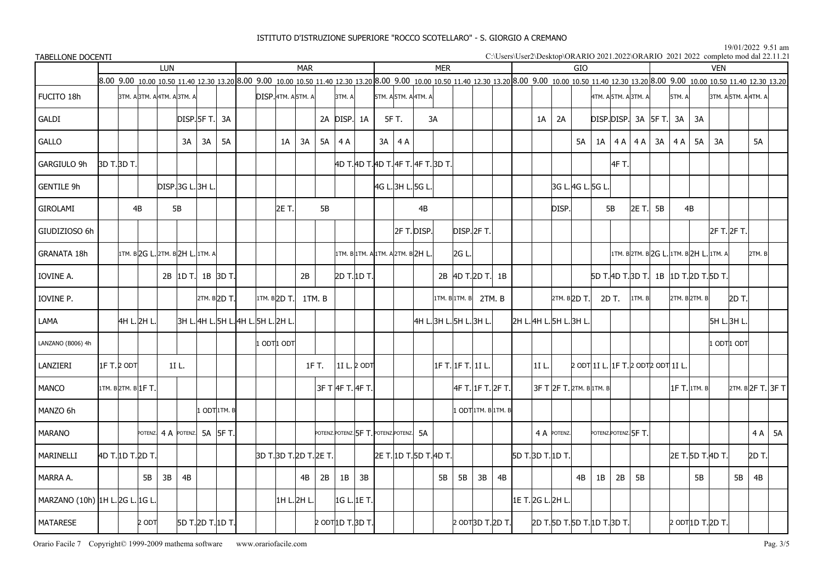#### 19/01/2022 9.51 am

| TABELLONE DOCENTI               |              |                                  |                            |            |                   |                           |                                              |                         |            |                   |                 |    |                                        |             |            |                                                                                                                                                                                                         |    |       |                   |                           |    |       |                      |                                    |        |                  | C:\Users\User2\Desktop\ORARIO 2021.2022\ORARIO 2021 2022 completo mod dal 22.11.21 |                      |           |                   |
|---------------------------------|--------------|----------------------------------|----------------------------|------------|-------------------|---------------------------|----------------------------------------------|-------------------------|------------|-------------------|-----------------|----|----------------------------------------|-------------|------------|---------------------------------------------------------------------------------------------------------------------------------------------------------------------------------------------------------|----|-------|-------------------|---------------------------|----|-------|----------------------|------------------------------------|--------|------------------|------------------------------------------------------------------------------------|----------------------|-----------|-------------------|
|                                 |              |                                  | <b>LUN</b>                 |            |                   |                           |                                              |                         | <b>MAR</b> |                   |                 |    |                                        |             | <b>MER</b> |                                                                                                                                                                                                         |    |       |                   | GIO                       |    |       |                      |                                    |        |                  | <b>VEN</b>                                                                         |                      |           |                   |
|                                 |              |                                  |                            |            |                   |                           |                                              |                         |            |                   |                 |    |                                        |             |            | 8.00 9.00 10.00 10.50 11.40 12.30 13.20 8.00 9.00 10.00 10.50 11.40 12.30 13.20 8.00 9.00 10.00 10.50 11.40 12.30 13.20 8.00 9.00 10.00 10.50 11.40 12.30 13.20 8.00 9.00 10.00 10.50 11.40 12.30 13.20 |    |       |                   |                           |    |       |                      |                                    |        |                  |                                                                                    |                      |           |                   |
| FUCITO 18h                      |              | ЗТМ. А ЗТМ. А 4ТМ. А ЗТМ. А      |                            |            |                   |                           |                                              | DISP. 4TM. A 5TM. A     |            |                   | 3TM. A          |    | 5TM. A 5TM. A 4TM. A                   |             |            |                                                                                                                                                                                                         |    |       |                   |                           |    |       | 4TM. A 5TM. A 3TM. A |                                    | 5TM. A |                  |                                                                                    | 3TM. A 5TM. A 4TM. A |           |                   |
| GALDI                           |              |                                  |                            |            | DISP   SF T.      | 3A                        |                                              |                         |            |                   | 2A DISP. 1A     |    | 5F T.                                  |             | 3A         |                                                                                                                                                                                                         |    | 1A    | 2A                |                           |    |       |                      | DISP.DISP. 3A 5F T.                | 3A     | 3A               |                                                                                    |                      |           |                   |
| GALLO                           |              |                                  |                            | 3A         | 3A                | 5A                        |                                              | 1A                      | 3A         |                   | $5A \mid 4A$    |    | 3A<br>4 A                              |             |            |                                                                                                                                                                                                         |    |       |                   | <b>5A</b>                 | 1A | 4 A   | 4 A                  | 3A                                 | 4 A    | 5A               | 3A                                                                                 |                      | <b>5A</b> |                   |
| GARGIULO 9h                     | 3D T.3D T.   |                                  |                            |            |                   |                           |                                              |                         |            |                   |                 |    | 4D T.4D T.4D T.4F T.4F T.3D T.         |             |            |                                                                                                                                                                                                         |    |       |                   |                           |    | 4F T. |                      |                                    |        |                  |                                                                                    |                      |           |                   |
| <b>GENTILE 9h</b>               |              |                                  |                            |            | DISP.3G L.3H L    |                           |                                              |                         |            |                   |                 |    | 4G L. 3H L. 5G L.                      |             |            |                                                                                                                                                                                                         |    |       |                   | 3G L. 4G L. 5G L          |    |       |                      |                                    |        |                  |                                                                                    |                      |           |                   |
| GIROLAMI                        |              | 4B                               |                            | 5B         |                   |                           |                                              | 2E T.                   |            | 5B                |                 |    |                                        | 4B          |            |                                                                                                                                                                                                         |    |       | DISP.             |                           |    | 5B    | 2E T.                | 5B                                 |        | 4B               |                                                                                    |                      |           |                   |
| GIUDIZIOSO 6h                   |              |                                  |                            |            |                   |                           |                                              |                         |            |                   |                 |    |                                        | 2F T. DISP. |            | disp.12f t.                                                                                                                                                                                             |    |       |                   |                           |    |       |                      |                                    |        |                  |                                                                                    | 2F T. 2F T.          |           |                   |
| <b>GRANATA 18h</b>              |              | 1TM. B 2G L. 2TM. B 2H L. 1TM. A |                            |            |                   |                           |                                              |                         |            |                   |                 |    | 1TM. B 1TM. A 1TM. A 2TM. B 2H L.      |             |            | 2G L.                                                                                                                                                                                                   |    |       |                   |                           |    |       |                      |                                    |        |                  | 1TM. B2TM. B2G L. 1TM. B2H L. 1TM. A                                               |                      | 2TM. B    |                   |
| IOVINE A.                       |              |                                  |                            | $2B$ 1D T. |                   | 1B 3D T.                  |                                              |                         | 2B         |                   | 2D T. 1D T.     |    |                                        |             |            | 2B 4D T.2D T.                                                                                                                                                                                           | 1B |       |                   |                           |    |       |                      |                                    |        |                  | 5D T. 4D T. 3D T.   1B   1D T. 2D T. 5D T.                                         |                      |           |                   |
| IOVINE P.                       |              |                                  |                            |            |                   | 2TM. B <sub>2D</sub> T.   |                                              | 1TM. B <sub>2D</sub> T. |            | 1TM. B            |                 |    |                                        |             |            | 1TM. B 1TM. B 2TM. B                                                                                                                                                                                    |    |       |                   | 2TM. B 2D T.              |    | 2D T. | 1TM. B               |                                    |        | 2TM. B 2TM. B    |                                                                                    | 2D T.                |           |                   |
| LAMA                            |              | 4H L. 2H L.                      |                            |            |                   |                           | 3H L. 4H L. 5H L. <b> </b> 4H L. 5H L. 2H L. |                         |            |                   |                 |    |                                        |             |            | 4H L. 3H L. 5H L. 3H L.                                                                                                                                                                                 |    |       |                   | l2H L. 4H L. 5H L. 3H L   |    |       |                      |                                    |        |                  |                                                                                    | 5H L. 3H L.          |           |                   |
| LANZANO (B006) 4h               |              |                                  |                            |            |                   |                           |                                              | 1 ODT 1 ODT             |            |                   |                 |    |                                        |             |            |                                                                                                                                                                                                         |    |       |                   |                           |    |       |                      |                                    |        |                  |                                                                                    | 1 ODTI ODT           |           |                   |
| LANZIERI                        | 11F T.12 ODT |                                  |                            | 1I L.      |                   |                           |                                              |                         |            | 1F T.             | $1I L$ 2 ODT    |    |                                        |             |            | 1F T. 1F T. 1I L.                                                                                                                                                                                       |    | 11 L. |                   |                           |    |       |                      | 2 ΟDT 1I L. 1F T. 2 ΟDT2 ΟDT 1I L. |        |                  |                                                                                    |                      |           |                   |
| <b>MANCO</b>                    |              | 1TM. B 2TM. B 1F T.              |                            |            |                   |                           |                                              |                         |            |                   | 3F T 4F T 4F T. |    |                                        |             |            | 4F T. 1F T. 2F T.                                                                                                                                                                                       |    |       |                   | 3F Т 2F Т. 2ТМ. В 1ТМ. В  |    |       |                      |                                    |        | $1F$ T. $1TM. B$ |                                                                                    |                      |           | 2TM. B 2F T. 3F T |
| MANZO 6h                        |              |                                  |                            |            |                   | 1 ODT <sup>1</sup> 1TM. B |                                              |                         |            |                   |                 |    |                                        |             |            | 1 ODT 1TM. B 1TM. B                                                                                                                                                                                     |    |       |                   |                           |    |       |                      |                                    |        |                  |                                                                                    |                      |           |                   |
| <b>MARANO</b>                   |              |                                  | POTENZ 4 A POTENZ 5A 5F T. |            |                   |                           |                                              |                         |            |                   |                 |    | POTENZ.POTENZ. 5F T. POTENZ.POTENZ. 5A |             |            |                                                                                                                                                                                                         |    |       | 4 A POTENZ.       |                           |    |       | POTENZ.POTENZ. 5F T. |                                    |        |                  |                                                                                    |                      |           | $4A$ 5A           |
| MARINELLI                       |              | 4D T. 1D T. 2D T.                |                            |            |                   |                           |                                              | 3D T. 3D T. 2D T. 2E T. |            |                   |                 |    | 2E T. 1D T. 5D T. 4D T.                |             |            |                                                                                                                                                                                                         |    |       | 5D T. 3D T. 1D T. |                           |    |       |                      |                                    |        |                  | 2E T.15D T.14D T.1                                                                 |                      | 2D T.l    |                   |
| MARRA A.                        |              | 5B                               | 3B                         | 4B         |                   |                           |                                              |                         | 4B         | 2B                | 1B              | 3B |                                        |             | 5B         | 5B<br>3B                                                                                                                                                                                                | 4B |       |                   | 4B                        | 1B | 2B    | 5B                   |                                    |        | 5B               |                                                                                    | 5B                   | 4B        |                   |
| MARZANO (10h) 1H L. 2G L. 1G L. |              |                                  |                            |            |                   |                           |                                              | 1H L.2H L.              |            |                   | 1G L. 1E T.     |    |                                        |             |            |                                                                                                                                                                                                         |    |       | 1E T. 2G L. 2H L  |                           |    |       |                      |                                    |        |                  |                                                                                    |                      |           |                   |
| <b>MATARESE</b>                 |              | 2 ODT                            |                            |            | 5D T. 2D T. 1D T. |                           |                                              |                         |            | 2 ODT 1D T. 3D T. |                 |    |                                        |             |            | 2 ODT3D T.2D T.                                                                                                                                                                                         |    |       |                   | 2D T.5D T.5D T.1D T.3D T. |    |       |                      |                                    |        |                  | 2 ODT 1D T. 2D T.                                                                  |                      |           |                   |

Orario Facile 7 Copyright© 1999-2009 mathema software www.orariofacile.com Pag. 3/5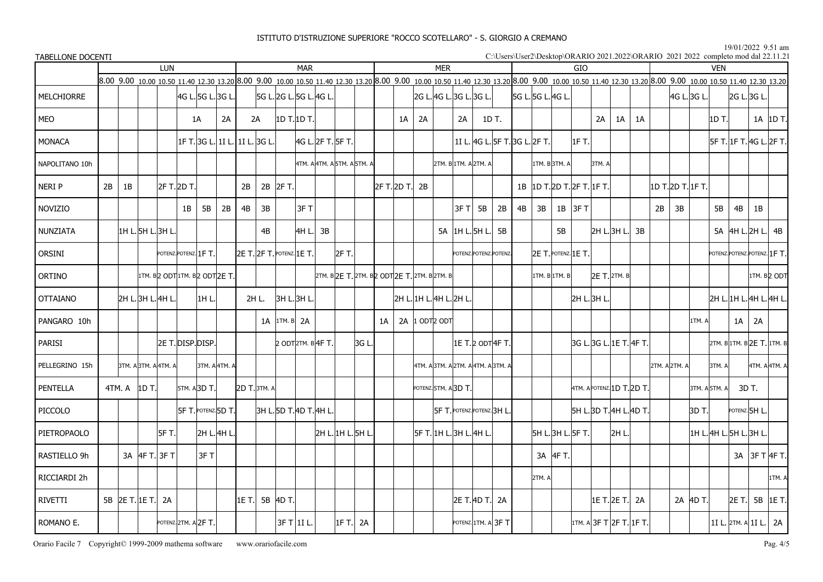#### 19/01/2022 9.51 am

| TABELLONE DOCENTI |    |                   | <b>LUN</b><br><b>MAR</b><br>8.00 9.00 10.00 10.50 11.40 12.30 13.20 8.00 9.00 10.00 10.50 11.40 12.30 13.20 8.00 9.00 10.00 10.50 11.40 12.30 13.20 8.00 9.00 10.00 10.50 11.40 12.30 13.20 8.00 9.00 10.00 10.50 11.40 12.30 13.20 |       |             |                         |                                 |                |       |                           |                   |                             |           |      |                                               |    |                         |                                    |       |    |        |                     |           |                            |                |    |    |                 |             | C:\Users\User2\Desktop\ORARIO 2021.2022\ORARIO 2021 2022 completo mod dal 22.11.21 |                |       |                              |
|-------------------|----|-------------------|-------------------------------------------------------------------------------------------------------------------------------------------------------------------------------------------------------------------------------------|-------|-------------|-------------------------|---------------------------------|----------------|-------|---------------------------|-------------------|-----------------------------|-----------|------|-----------------------------------------------|----|-------------------------|------------------------------------|-------|----|--------|---------------------|-----------|----------------------------|----------------|----|----|-----------------|-------------|------------------------------------------------------------------------------------|----------------|-------|------------------------------|
|                   |    |                   |                                                                                                                                                                                                                                     |       |             |                         |                                 |                |       |                           |                   |                             |           |      |                                               |    | <b>MER</b>              |                                    |       |    |        |                     | GIO       |                            |                |    |    |                 |             | <b>VFN</b>                                                                         |                |       |                              |
|                   |    |                   |                                                                                                                                                                                                                                     |       |             |                         |                                 |                |       |                           |                   |                             |           |      |                                               |    |                         |                                    |       |    |        |                     |           |                            |                |    |    |                 |             |                                                                                    |                |       |                              |
| <b>MELCHIORRE</b> |    |                   |                                                                                                                                                                                                                                     |       |             |                         | 4G L. 5G L. 3G L.               |                |       | 5G L. 2G L. 5G L. 4G L.   |                   |                             |           |      |                                               |    |                         | 2G L. 4G L. 3G L. 3G L.            |       |    |        | 5G L. 5G L. 4G L.   |           |                            |                |    |    |                 | 4G L. 3G L. |                                                                                    | 2G L.3G L.     |       |                              |
| MEO               |    |                   |                                                                                                                                                                                                                                     |       |             | 1A                      | 2A                              |                | 2A    | 1D T. 1D T.               |                   |                             |           |      | 1A                                            | 2A |                         | 2A                                 | 1D T. |    |        |                     |           | 2A                         | 1A             | 1A |    |                 |             | 1D T.I                                                                             |                |       | 1A 1D T.                     |
| <b>MONACA</b>     |    |                   |                                                                                                                                                                                                                                     |       |             |                         | 1F T. 3G L.  1I L.  1I L. 3G L. |                |       |                           |                   | 4G L. 2F T. 5F T.           |           |      |                                               |    |                         | 1I L. 4G L. 5F T. 3G L. 2F T.      |       |    |        |                     | 1F T.     |                            |                |    |    |                 |             |                                                                                    |                |       | 5F T. 1F T. 4G L. 2F T.      |
| NAPOLITANO 10h    |    |                   |                                                                                                                                                                                                                                     |       |             |                         |                                 |                |       |                           |                   | 4TM. A 4TM. A 5TM. A 5TM. A |           |      |                                               |    |                         | 2TM. B 1TM. A 2TM. A               |       |    |        | 1TM. B3TM. A        |           | 3TM. A                     |                |    |    |                 |             |                                                                                    |                |       |                              |
| Neri P            | 2B | 1B                |                                                                                                                                                                                                                                     |       | 2F T. 2D T. |                         |                                 | 2B             |       | 2B 2F T.                  |                   |                             |           |      | 2F T. 2D T.                                   | 2B |                         |                                    |       |    |        |                     |           | 1B 1D T. 2D T. 2F T. 1F T. |                |    |    | 1D T.2D T.1F T. |             |                                                                                    |                |       |                              |
| <b>NOVIZIO</b>    |    |                   |                                                                                                                                                                                                                                     |       | 1B          | 5B                      | 2B                              | 4B             | 3B    |                           | 3F T              |                             |           |      |                                               |    |                         | 3F TI<br><b>5B</b>                 | 2B    | 4B | 3B     |                     | $1B$ 3F T |                            |                |    | 2B | 3B              |             | <b>5B</b>                                                                          | 4B             | 1B    |                              |
| <b>NUNZIATA</b>   |    |                   | 1H L.15H L.13H L                                                                                                                                                                                                                    |       |             |                         |                                 |                | 4B    |                           | 4H L.             | 3B                          |           |      |                                               |    |                         | 5A 1H L.5H L.                      | 5B    |    |        | 5B                  |           |                            | 2H L. 3H L.    | 3B |    |                 |             |                                                                                    | 5A 4H L. 2H L. |       | 4B                           |
| ORSINI            |    |                   |                                                                                                                                                                                                                                     |       |             | POTENZ. POTENZ. $1F$ T. |                                 |                |       | 2E T. 2F T. POTENZ. 1E T. |                   |                             | 2F T.I    |      |                                               |    |                         | POTENZ.POTENZ.POTENZ.              |       |    |        | 2E T. POTENZ. 1E T. |           |                            |                |    |    |                 |             |                                                                                    |                |       | POTENZ.POTENZ.POTENZ. 1FT.   |
| ORTINO            |    |                   |                                                                                                                                                                                                                                     |       |             |                         | 1TM. B 2 ODT 1TM. B 2 ODT 2E T. |                |       |                           |                   |                             |           |      | 2тм. в 2Е Т. 2тм. в 2 ОDT 2Е Т. 2тм. в 2тм. в |    |                         |                                    |       |    |        | 1TM. B 1TM. B       |           |                            | 2E T. 2TM. B   |    |    |                 |             |                                                                                    |                |       | 1TM. B <sub>2</sub> ODT      |
| <b>OTTAIANO</b>   |    |                   | 2H L.3H L.4H L.                                                                                                                                                                                                                     |       |             | 1H L.                   |                                 |                | 2H L. | 3H L. 3H L.               |                   |                             |           |      |                                               |    | 2H L. 1H L. 4H L. 2H L. |                                    |       |    |        |                     |           | 2H L. 3H L.                |                |    |    |                 |             | 2H L. 1H L. 4H L. 4H L.                                                            |                |       |                              |
| PANGARO 10h       |    |                   |                                                                                                                                                                                                                                     |       |             |                         |                                 |                |       | $1A$ 1TM. B $2A$          |                   |                             |           |      | 1A                                            |    | 2A 1 ODT2 ODT           |                                    |       |    |        |                     |           |                            |                |    |    |                 | 1TM. A      |                                                                                    | 1A             | 2A    |                              |
| PARISI            |    |                   |                                                                                                                                                                                                                                     |       |             | 2E T. DISP. DISP.       |                                 |                |       |                           | 2 ODT2TM. B 4F T. |                             |           | 3G L |                                               |    |                         | 1E T. 2 ODT 4F T.                  |       |    |        |                     |           | 3G L. 3G L. 1E T. 4F T.    |                |    |    |                 |             |                                                                                    |                |       | 2TM. B 1TM. B 2E T. 1TM. B   |
| PELLEGRINO 15h    |    |                   | 3TM. A 3TM. A 4TM. A                                                                                                                                                                                                                |       |             |                         | 3TM. A 4TM. A                   |                |       |                           |                   |                             |           |      |                                               |    |                         | 4TM. A 3TM. A 2TM. A 4TM. A 3TM. A |       |    |        |                     |           |                            |                |    |    | 2TM. A 2TM. A   |             | 3TM. A                                                                             |                |       | 4TM. A 4TM. A                |
| PENTELLA          |    | 4TM. A   1D T.    |                                                                                                                                                                                                                                     |       |             | 5TM. A3D T.             |                                 | 2D T. 3TM. A   |       |                           |                   |                             |           |      |                                               |    |                         | POTENZ. STM. A3D T.                |       |    |        |                     |           | 4TM. APOTENZ. 1D T. 2D T.  |                |    |    |                 |             | 3TM. A 5TM. A                                                                      |                | 3D T. |                              |
| PICCOLO           |    |                   |                                                                                                                                                                                                                                     |       |             |                         | 5F T. POTENZ. 5D T.             |                |       | 3H L. 5D T. 4D T. 4H L.   |                   |                             |           |      |                                               |    |                         | <b>5F T. POTENZ.POTENZ.3H L</b>    |       |    |        |                     |           | 5H L. 3D T. 4H L. 4D T.    |                |    |    |                 | 3D T.       |                                                                                    | POTENZ. 5H L.  |       |                              |
| PIETROPAOLO       |    |                   |                                                                                                                                                                                                                                     | 5F T. |             |                         | 2H L.4H L                       |                |       |                           |                   | 2H L. 1H L. 5H L            |           |      |                                               |    |                         | 5F T. 1H L. 3H L. 4H L.            |       |    |        | 5H L. 3H L. 5F T.   |           |                            | 2H L.          |    |    |                 |             | 1H L. 4H L. 5H L. 3H L.                                                            |                |       |                              |
| RASTIELLO 9h      |    |                   | 3A 4F T. 3F T                                                                                                                                                                                                                       |       |             | 3FT                     |                                 |                |       |                           |                   |                             |           |      |                                               |    |                         |                                    |       |    |        | 3A 4F T.            |           |                            |                |    |    |                 |             |                                                                                    |                |       | 3A 3F T 4F T.                |
| RICCIARDI 2h      |    |                   |                                                                                                                                                                                                                                     |       |             |                         |                                 |                |       |                           |                   |                             |           |      |                                               |    |                         |                                    |       |    | 2TM. A |                     |           |                            |                |    |    |                 |             |                                                                                    |                |       | 1TM. A                       |
| RIVETTI           |    | 5B 2E T. 1E T. 2A |                                                                                                                                                                                                                                     |       |             |                         |                                 | 1E T. 5B 4D T. |       |                           |                   |                             |           |      |                                               |    |                         | 2E T. 4D T.                        | 2A    |    |        |                     |           |                            | 1E T. 2E T. 2A |    |    |                 | 2A 4D T.    |                                                                                    |                |       | 2E T. 5B 1E T.               |
| ROMANO E.         |    |                   |                                                                                                                                                                                                                                     |       |             | POTENZ 2TM. A 2F T.     |                                 |                |       |                           | $3F$ T 1I L.      |                             | 1F T.  2A |      |                                               |    |                         | POTENZ 1TM. A 3F T                 |       |    |        |                     |           | 1TM. A 3F T 2F T. 1F T.    |                |    |    |                 |             |                                                                                    |                |       | $ 1I L.$ 2TM. A $ 1I L.  2A$ |